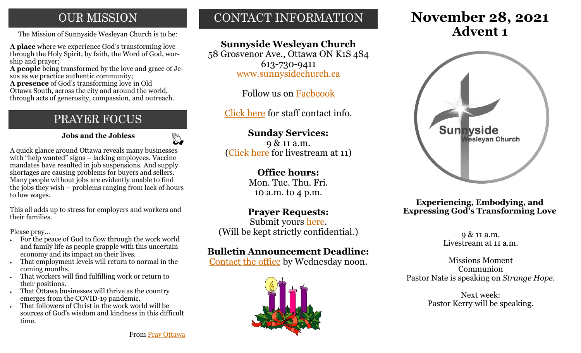# **OUR MISSION**

The Mission of Sunnyside Wesleyan Church is to be: **Advent 1** 

**A place** where we experience God's transforming love through the Holy Spirit, by faith, the Word of God, worship and prayer;

**A people** being transformed by the love and grace of Jesus as we practice authentic community;

**A presence** of God's transforming love in Old Ottawa South, across the city and around the world, through acts of generosity, compassion, and outreach.

# PRAYER FOCUS

 **Jobs and the Jobless**

 $\mathbb{Z}$ 

A quick glance around Ottawa reveals many businesses with "help wanted" signs – lacking employees. Vaccine mandates have resulted in job suspensions. And supply shortages are causing problems for buyers and sellers. Many people without jobs are evidently unable to find the jobs they wish – problems ranging from lack of hours to low wages.

This all adds up to stress for employers and workers and their families.

Please pray…

- For the peace of God to flow through the work world and family life as people grapple with this uncertain economy and its impact on their lives.
- That employment levels will return to normal in the coming months.
- That workers will find fulfilling work or return to their positions.
- That Ottawa businesses will thrive as the country emerges from the COVID-19 pandemic.
- That followers of Christ in the work world will be sources of God's wisdom and kindness in this difficult time.

# CONTACT INFORMATION

## **Sunnyside Wesleyan Church**

58 Grosvenor Ave., Ottawa ON K1S 4S4 613-730-9411 [www.sunnysidechurch.ca](http://www.sunnysidechurch.ca)

Follow us on [Facbeook](http://www.facebook.com/sunnysidewesleyanchurch)

[Click here](http://www.sunnysidechurch.ca/about-sunnyside/staff/) for staff contact info.

## **Sunday Services:**

9 & 11 a.m. ([Click here](https://youtube.com/channel/UCYfl9Qy37Az7fqqFQpDEwjg) for livestream at 11)

#### **Office hours:**

Mon. Tue. Thu. Fri. 10 a.m. to 4 p.m.

### **Prayer Requests:**

Submit yours [here.](mailto:prayer@sunnysidechurch.ca) (Will be kept strictly confidential.)

### **Bulletin Announcement Deadline:**

[Contact the office](mailto:office@sunnysidechurch.ca) by Wednesday noon.



# **November 28, 2021**



#### **Experiencing, Embodying, and Expressing God's Transforming Love**

9 & 11 a.m. Livestream at 11 a.m.

Missions Moment Communion Pastor Nate is speaking on *Strange Hope.*

> Next week: Pastor Kerry will be speaking.